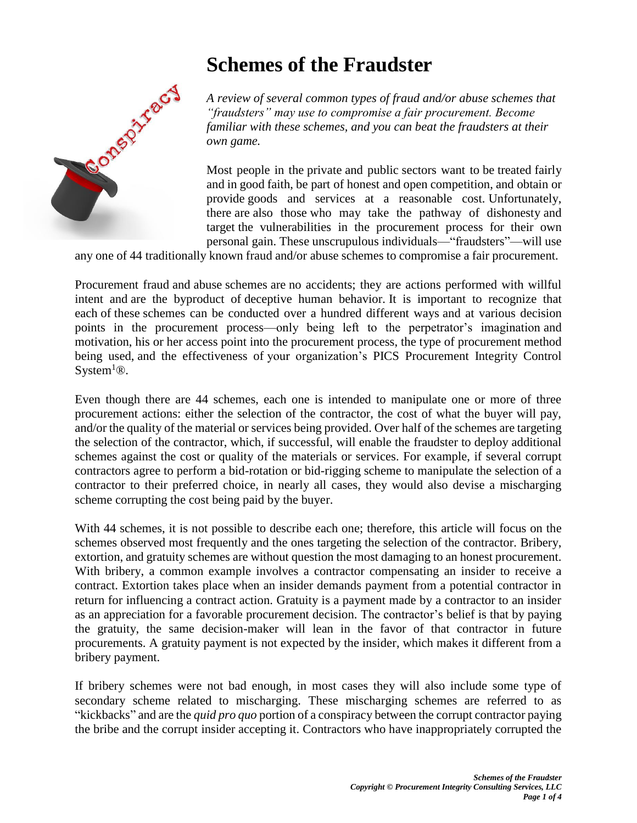# **Schemes of the Fraudster**



*A review of several common types of fraud and/or abuse schemes that "fraudsters" may use to compromise a fair procurement. Become familiar with these schemes, and you can beat the fraudsters at their own game.* 

Most people in the private and public sectors want to be treated fairly and in good faith, be part of honest and open competition, and obtain or provide goods and services at a reasonable cost. Unfortunately, there are also those who may take the pathway of dishonesty and target the vulnerabilities in the procurement process for their own personal gain. These unscrupulous individuals—"fraudsters"—will use

any one of 44 traditionally known fraud and/or abuse schemes to compromise a fair procurement.

Procurement fraud and abuse schemes are no accidents; they are actions performed with willful intent and are the byproduct of deceptive human behavior. It is important to recognize that each of these schemes can be conducted over a hundred different ways and at various decision points in the procurement process—only being left to the perpetrator's imagination and motivation, his or her access point into the procurement process, the type of procurement method being used, and the effectiveness of your organization's PICS Procurement Integrity Control System<sup>1</sup><sup>®</sup>.

Even though there are 44 schemes, each one is intended to manipulate one or more of three procurement actions: either the selection of the contractor, the cost of what the buyer will pay, and/or the quality of the material or services being provided. Over half of the schemes are targeting the selection of the contractor, which, if successful, will enable the fraudster to deploy additional schemes against the cost or quality of the materials or services. For example, if several corrupt contractors agree to perform a bid-rotation or bid-rigging scheme to manipulate the selection of a contractor to their preferred choice, in nearly all cases, they would also devise a mischarging scheme corrupting the cost being paid by the buyer.

With 44 schemes, it is not possible to describe each one; therefore, this article will focus on the schemes observed most frequently and the ones targeting the selection of the contractor. Bribery, extortion, and gratuity schemes are without question the most damaging to an honest procurement. With bribery, a common example involves a contractor compensating an insider to receive a contract. Extortion takes place when an insider demands payment from a potential contractor in return for influencing a contract action. Gratuity is a payment made by a contractor to an insider as an appreciation for a favorable procurement decision. The contractor's belief is that by paying the gratuity, the same decision-maker will lean in the favor of that contractor in future procurements. A gratuity payment is not expected by the insider, which makes it different from a bribery payment.

If bribery schemes were not bad enough, in most cases they will also include some type of secondary scheme related to mischarging. These mischarging schemes are referred to as "kickbacks" and are the *quid pro quo* portion of a conspiracy between the corrupt contractor paying the bribe and the corrupt insider accepting it. Contractors who have inappropriately corrupted the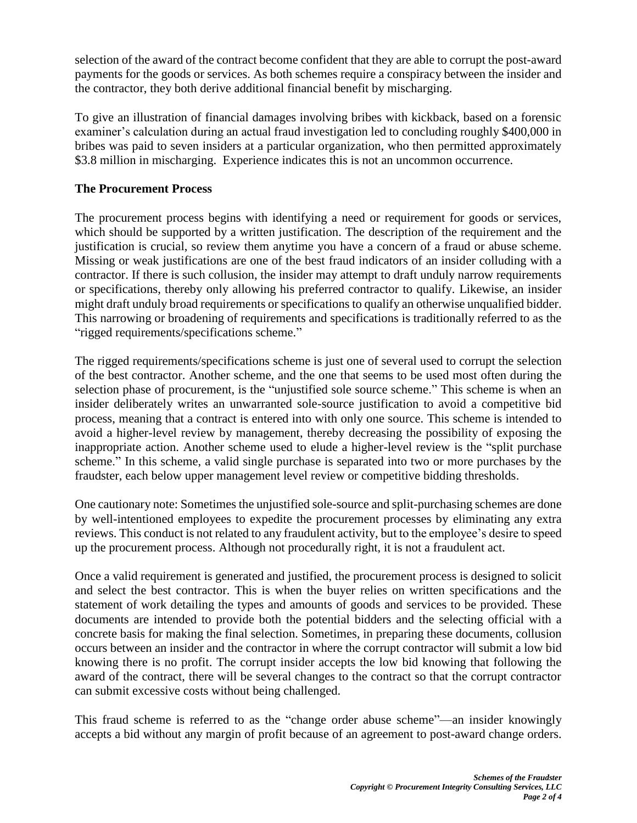selection of the award of the contract become confident that they are able to corrupt the post-award payments for the goods or services. As both schemes require a conspiracy between the insider and the contractor, they both derive additional financial benefit by mischarging.

To give an illustration of financial damages involving bribes with kickback, based on a forensic examiner's calculation during an actual fraud investigation led to concluding roughly \$400,000 in bribes was paid to seven insiders at a particular organization, who then permitted approximately \$3.8 million in mischarging. Experience indicates this is not an uncommon occurrence.

### **The Procurement Process**

The procurement process begins with identifying a need or requirement for goods or services, which should be supported by a written justification. The description of the requirement and the justification is crucial, so review them anytime you have a concern of a fraud or abuse scheme. Missing or weak justifications are one of the best fraud indicators of an insider colluding with a contractor. If there is such collusion, the insider may attempt to draft unduly narrow requirements or specifications, thereby only allowing his preferred contractor to qualify. Likewise, an insider might draft unduly broad requirements or specifications to qualify an otherwise unqualified bidder. This narrowing or broadening of requirements and specifications is traditionally referred to as the "rigged requirements/specifications scheme."

The rigged requirements/specifications scheme is just one of several used to corrupt the selection of the best contractor. Another scheme, and the one that seems to be used most often during the selection phase of procurement, is the "unjustified sole source scheme." This scheme is when an insider deliberately writes an unwarranted sole-source justification to avoid a competitive bid process, meaning that a contract is entered into with only one source. This scheme is intended to avoid a higher-level review by management, thereby decreasing the possibility of exposing the inappropriate action. Another scheme used to elude a higher-level review is the "split purchase scheme." In this scheme, a valid single purchase is separated into two or more purchases by the fraudster, each below upper management level review or competitive bidding thresholds.

One cautionary note: Sometimes the unjustified sole-source and split-purchasing schemes are done by well-intentioned employees to expedite the procurement processes by eliminating any extra reviews. This conduct is not related to any fraudulent activity, but to the employee's desire to speed up the procurement process. Although not procedurally right, it is not a fraudulent act.

Once a valid requirement is generated and justified, the procurement process is designed to solicit and select the best contractor. This is when the buyer relies on written specifications and the statement of work detailing the types and amounts of goods and services to be provided. These documents are intended to provide both the potential bidders and the selecting official with a concrete basis for making the final selection. Sometimes, in preparing these documents, collusion occurs between an insider and the contractor in where the corrupt contractor will submit a low bid knowing there is no profit. The corrupt insider accepts the low bid knowing that following the award of the contract, there will be several changes to the contract so that the corrupt contractor can submit excessive costs without being challenged.

This fraud scheme is referred to as the "change order abuse scheme"—an insider knowingly accepts a bid without any margin of profit because of an agreement to post-award change orders.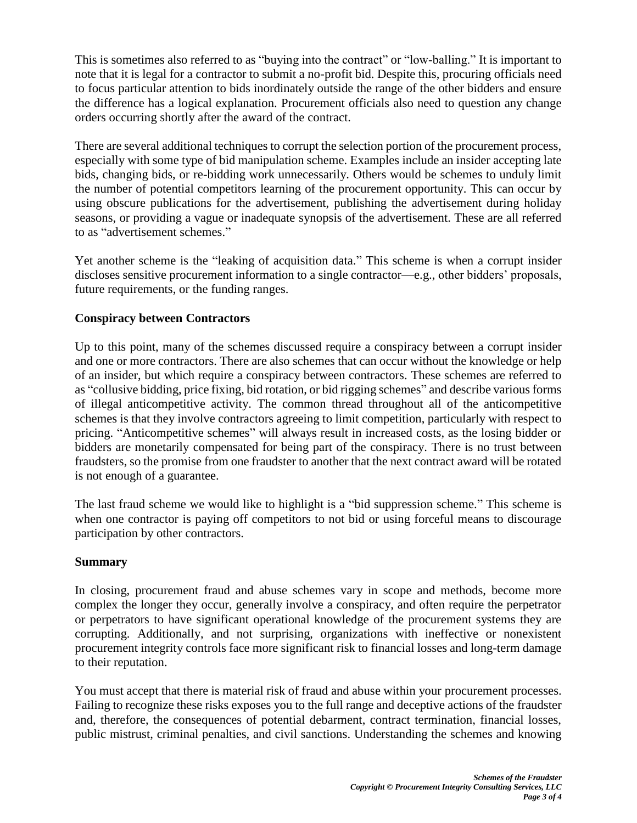This is sometimes also referred to as "buying into the contract" or "low-balling." It is important to note that it is legal for a contractor to submit a no-profit bid. Despite this, procuring officials need to focus particular attention to bids inordinately outside the range of the other bidders and ensure the difference has a logical explanation. Procurement officials also need to question any change orders occurring shortly after the award of the contract.

There are several additional techniques to corrupt the selection portion of the procurement process, especially with some type of bid manipulation scheme. Examples include an insider accepting late bids, changing bids, or re-bidding work unnecessarily. Others would be schemes to unduly limit the number of potential competitors learning of the procurement opportunity. This can occur by using obscure publications for the advertisement, publishing the advertisement during holiday seasons, or providing a vague or inadequate synopsis of the advertisement. These are all referred to as "advertisement schemes."

Yet another scheme is the "leaking of acquisition data." This scheme is when a corrupt insider discloses sensitive procurement information to a single contractor—e.g., other bidders' proposals, future requirements, or the funding ranges.

## **Conspiracy between Contractors**

Up to this point, many of the schemes discussed require a conspiracy between a corrupt insider and one or more contractors. There are also schemes that can occur without the knowledge or help of an insider, but which require a conspiracy between contractors. These schemes are referred to as "collusive bidding, price fixing, bid rotation, or bid rigging schemes" and describe various forms of illegal anticompetitive activity. The common thread throughout all of the anticompetitive schemes is that they involve contractors agreeing to limit competition, particularly with respect to pricing. "Anticompetitive schemes" will always result in increased costs, as the losing bidder or bidders are monetarily compensated for being part of the conspiracy. There is no trust between fraudsters, so the promise from one fraudster to another that the next contract award will be rotated is not enough of a guarantee.

The last fraud scheme we would like to highlight is a "bid suppression scheme." This scheme is when one contractor is paying off competitors to not bid or using forceful means to discourage participation by other contractors.

## **Summary**

In closing, procurement fraud and abuse schemes vary in scope and methods, become more complex the longer they occur, generally involve a conspiracy, and often require the perpetrator or perpetrators to have significant operational knowledge of the procurement systems they are corrupting. Additionally, and not surprising, organizations with ineffective or nonexistent procurement integrity controls face more significant risk to financial losses and long-term damage to their reputation.

You must accept that there is material risk of fraud and abuse within your procurement processes. Failing to recognize these risks exposes you to the full range and deceptive actions of the fraudster and, therefore, the consequences of potential debarment, contract termination, financial losses, public mistrust, criminal penalties, and civil sanctions. Understanding the schemes and knowing